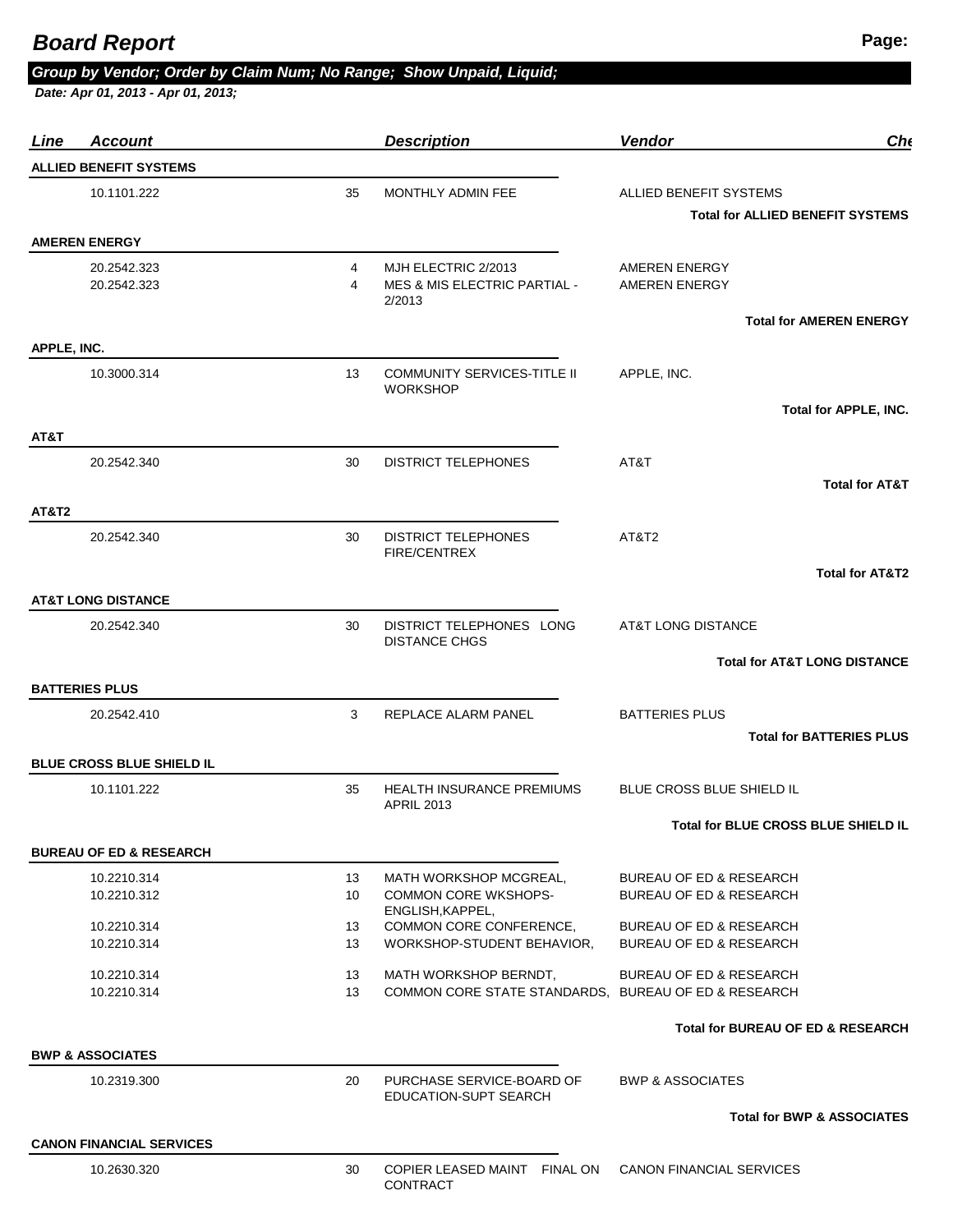## *Group by Vendor; Order by Claim Num; No Range; Show Unpaid, Liquid;*

 *Date: Apr 01, 2013 - Apr 01, 2013;* 

| <u>Line</u>      | <b>Account</b>                     |        | <b>Description</b>                                            | <b>Vendor</b>                                | Ch(                                     |
|------------------|------------------------------------|--------|---------------------------------------------------------------|----------------------------------------------|-----------------------------------------|
|                  | <b>ALLIED BENEFIT SYSTEMS</b>      |        |                                                               |                                              |                                         |
|                  | 10.1101.222                        | 35     | MONTHLY ADMIN FEE                                             | ALLIED BENEFIT SYSTEMS                       |                                         |
|                  |                                    |        |                                                               | <b>Total for ALLIED BENEFIT SYSTEMS</b>      |                                         |
|                  | <b>AMEREN ENERGY</b>               |        |                                                               |                                              |                                         |
|                  | 20.2542.323<br>20.2542.323         | 4<br>4 | MJH ELECTRIC 2/2013<br>MES & MIS ELECTRIC PARTIAL -<br>2/2013 | <b>AMEREN ENERGY</b><br><b>AMEREN ENERGY</b> |                                         |
|                  |                                    |        |                                                               |                                              | <b>Total for AMEREN ENERGY</b>          |
| APPLE, INC.      |                                    |        |                                                               |                                              |                                         |
|                  | 10.3000.314                        | 13     | <b>COMMUNITY SERVICES-TITLE II</b><br><b>WORKSHOP</b>         | APPLE, INC.                                  |                                         |
|                  |                                    |        |                                                               |                                              | Total for APPLE, INC.                   |
| AT&T             |                                    |        |                                                               |                                              |                                         |
|                  | 20.2542.340                        | 30     | <b>DISTRICT TELEPHONES</b>                                    | AT&T                                         |                                         |
|                  |                                    |        |                                                               |                                              | <b>Total for AT&amp;T</b>               |
| <b>AT&amp;T2</b> |                                    |        |                                                               |                                              |                                         |
|                  | 20.2542.340                        | 30     | <b>DISTRICT TELEPHONES</b><br><b>FIRE/CENTREX</b>             | AT&T <sub>2</sub>                            |                                         |
|                  |                                    |        |                                                               |                                              | <b>Total for AT&amp;T2</b>              |
|                  | <b>AT&amp;T LONG DISTANCE</b>      |        |                                                               |                                              |                                         |
|                  | 20.2542.340                        | 30     | DISTRICT TELEPHONES LONG                                      | AT&T LONG DISTANCE                           |                                         |
|                  |                                    |        | <b>DISTANCE CHGS</b>                                          |                                              |                                         |
|                  |                                    |        |                                                               |                                              | <b>Total for AT&amp;T LONG DISTANCE</b> |
|                  | <b>BATTERIES PLUS</b>              |        |                                                               |                                              |                                         |
|                  | 20.2542.410                        | 3      | REPLACE ALARM PANEL                                           | <b>BATTERIES PLUS</b>                        |                                         |
|                  |                                    |        |                                                               |                                              | <b>Total for BATTERIES PLUS</b>         |
|                  | BLUE CROSS BLUE SHIELD IL          |        |                                                               |                                              |                                         |
|                  | 10.1101.222                        | 35     | <b>HEALTH INSURANCE PREMIUMS</b><br><b>APRIL 2013</b>         | <b>BLUE CROSS BLUE SHIELD IL</b>             |                                         |
|                  |                                    |        |                                                               | Total for BLUE CROSS BLUE SHIELD IL          |                                         |
|                  | <b>BUREAU OF ED &amp; RESEARCH</b> |        |                                                               |                                              |                                         |
|                  | 10.2210.314                        | 13     | MATH WORKSHOP MCGREAL,                                        | <b>BUREAU OF ED &amp; RESEARCH</b>           |                                         |
|                  | 10.2210.312                        | 10     | <b>COMMON CORE WKSHOPS-</b><br>ENGLISH.KAPPEL.                | <b>BUREAU OF ED &amp; RESEARCH</b>           |                                         |
|                  | 10.2210.314                        | 13     | COMMON CORE CONFERENCE,                                       | BUREAU OF ED & RESEARCH                      |                                         |
|                  | 10.2210.314                        | 13     | WORKSHOP-STUDENT BEHAVIOR,                                    | <b>BUREAU OF ED &amp; RESEARCH</b>           |                                         |
|                  | 10.2210.314                        | 13     | MATH WORKSHOP BERNDT,                                         | BUREAU OF ED & RESEARCH                      |                                         |
|                  | 10.2210.314                        | 13     | COMMON CORE STATE STANDARDS. BUREAU OF ED & RESEARCH          |                                              |                                         |
|                  |                                    |        |                                                               | Total for BUREAU OF ED & RESEARCH            |                                         |
|                  | <b>BWP &amp; ASSOCIATES</b>        |        |                                                               |                                              |                                         |
|                  | 10.2319.300                        | 20     | PURCHASE SERVICE-BOARD OF                                     | <b>BWP &amp; ASSOCIATES</b>                  |                                         |
|                  |                                    |        | <b>EDUCATION-SUPT SEARCH</b>                                  |                                              | <b>Total for BWP &amp; ASSOCIATES</b>   |
|                  |                                    |        |                                                               |                                              |                                         |
|                  | <b>CANON FINANCIAL SERVICES</b>    |        |                                                               |                                              |                                         |
|                  | 10.2630.320                        | 30     | COPIER LEASED MAINT FINAL ON<br>CONTRACT                      | <b>CANON FINANCIAL SERVICES</b>              |                                         |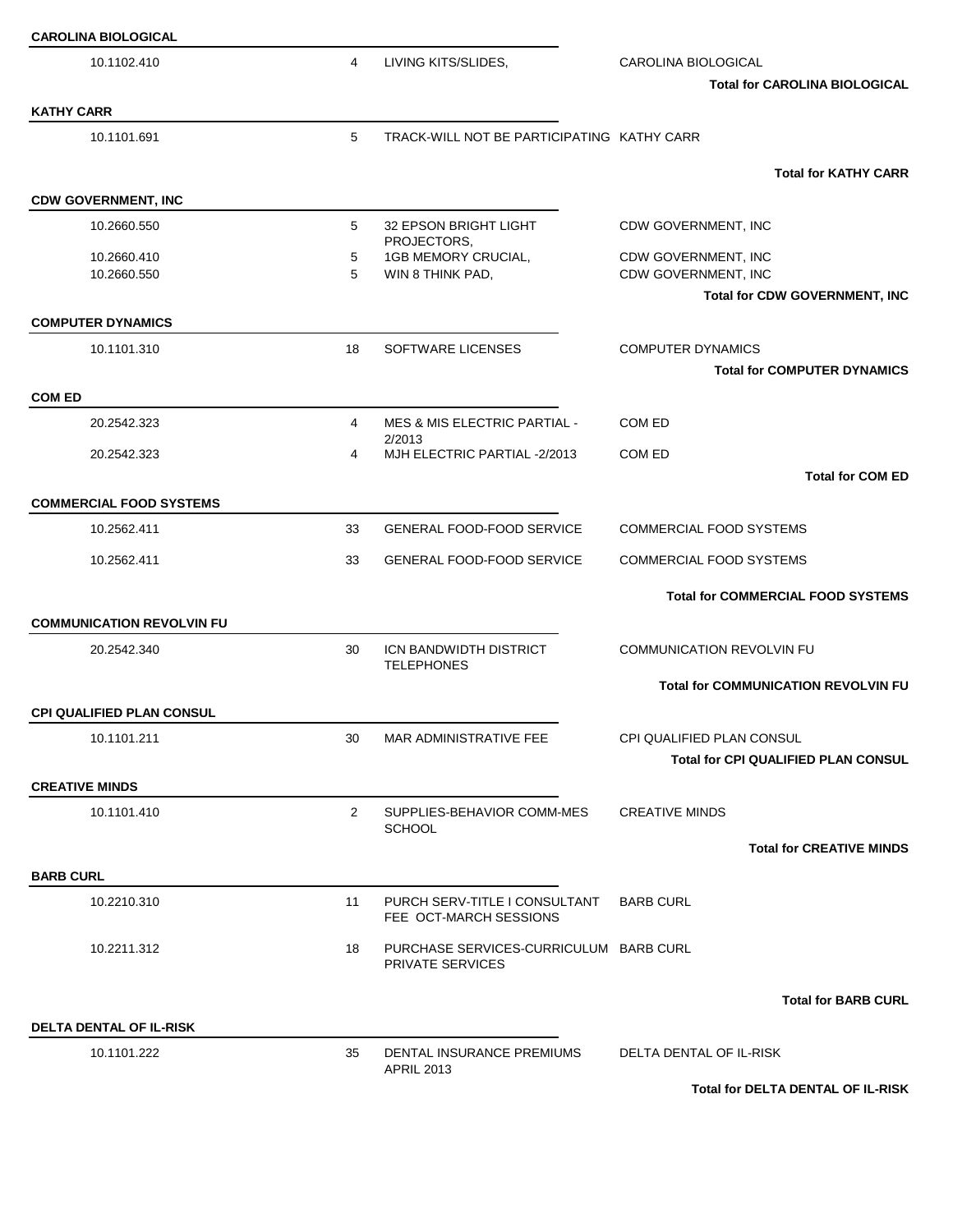| <b>CAROLINA BIOLOGICAL</b>       |                      |                                                                   |                                                             |
|----------------------------------|----------------------|-------------------------------------------------------------------|-------------------------------------------------------------|
| 10.1102.410                      | 4                    | LIVING KITS/SLIDES,                                               | CAROLINA BIOLOGICAL<br><b>Total for CAROLINA BIOLOGICAL</b> |
| <b>KATHY CARR</b>                |                      |                                                                   |                                                             |
| 10.1101.691                      | 5                    | TRACK-WILL NOT BE PARTICIPATING KATHY CARR                        |                                                             |
|                                  |                      |                                                                   | <b>Total for KATHY CARR</b>                                 |
| <b>CDW GOVERNMENT, INC</b>       |                      |                                                                   |                                                             |
| 10.2660.550                      | 5                    | 32 EPSON BRIGHT LIGHT<br>PROJECTORS,                              | CDW GOVERNMENT, INC                                         |
| 10.2660.410<br>10.2660.550       | 5<br>5               | 1GB MEMORY CRUCIAL,<br>WIN 8 THINK PAD,                           | CDW GOVERNMENT, INC<br>CDW GOVERNMENT, INC                  |
|                                  |                      |                                                                   | Total for CDW GOVERNMENT, INC                               |
| <b>COMPUTER DYNAMICS</b>         |                      |                                                                   |                                                             |
| 10.1101.310                      | 18                   | SOFTWARE LICENSES                                                 | <b>COMPUTER DYNAMICS</b>                                    |
|                                  |                      |                                                                   | <b>Total for COMPUTER DYNAMICS</b>                          |
| <b>COM ED</b>                    |                      |                                                                   |                                                             |
| 20.2542.323                      | 4                    | <b>MES &amp; MIS ELECTRIC PARTIAL -</b><br>2/2013                 | COM ED                                                      |
| 20.2542.323                      | 4                    | MJH ELECTRIC PARTIAL -2/2013                                      | COM ED                                                      |
|                                  |                      |                                                                   | <b>Total for COM ED</b>                                     |
| <b>COMMERCIAL FOOD SYSTEMS</b>   |                      |                                                                   |                                                             |
| 10.2562.411                      | 33                   | <b>GENERAL FOOD-FOOD SERVICE</b>                                  | <b>COMMERCIAL FOOD SYSTEMS</b>                              |
| 10.2562.411                      | 33                   | <b>GENERAL FOOD-FOOD SERVICE</b>                                  | <b>COMMERCIAL FOOD SYSTEMS</b>                              |
|                                  |                      |                                                                   | <b>Total for COMMERCIAL FOOD SYSTEMS</b>                    |
| <b>COMMUNICATION REVOLVIN FU</b> |                      |                                                                   |                                                             |
| 20.2542.340                      | 30                   | ICN BANDWIDTH DISTRICT<br><b>TELEPHONES</b>                       | <b>COMMUNICATION REVOLVIN FU</b>                            |
|                                  |                      |                                                                   | <b>Total for COMMUNICATION REVOLVIN FU</b>                  |
| <b>CPI QUALIFIED PLAN CONSUL</b> |                      |                                                                   |                                                             |
| 10.1101.211                      | 30                   | MAR ADMINISTRATIVE FEE                                            | CPI QUALIFIED PLAN CONSUL                                   |
|                                  |                      |                                                                   | <b>Total for CPI QUALIFIED PLAN CONSUL</b>                  |
| <b>CREATIVE MINDS</b>            |                      |                                                                   |                                                             |
| 10.1101.410                      | $\mathbf{2}^{\circ}$ | SUPPLIES-BEHAVIOR COMM-MES<br><b>SCHOOL</b>                       | <b>CREATIVE MINDS</b>                                       |
|                                  |                      |                                                                   | <b>Total for CREATIVE MINDS</b>                             |
| <b>BARB CURL</b>                 |                      |                                                                   |                                                             |
| 10.2210.310                      | 11                   | PURCH SERV-TITLE I CONSULTANT<br>FEE OCT-MARCH SESSIONS           | <b>BARB CURL</b>                                            |
| 10.2211.312                      | 18                   | PURCHASE SERVICES-CURRICULUM BARB CURL<br><b>PRIVATE SERVICES</b> |                                                             |
|                                  |                      |                                                                   | <b>Total for BARB CURL</b>                                  |
| <b>DELTA DENTAL OF IL-RISK</b>   |                      |                                                                   |                                                             |
| 10.1101.222                      | 35                   | DENTAL INSURANCE PREMIUMS<br><b>APRIL 2013</b>                    | DELTA DENTAL OF IL-RISK                                     |
|                                  |                      |                                                                   | Total for DELTA DENTAL OF IL-RISK                           |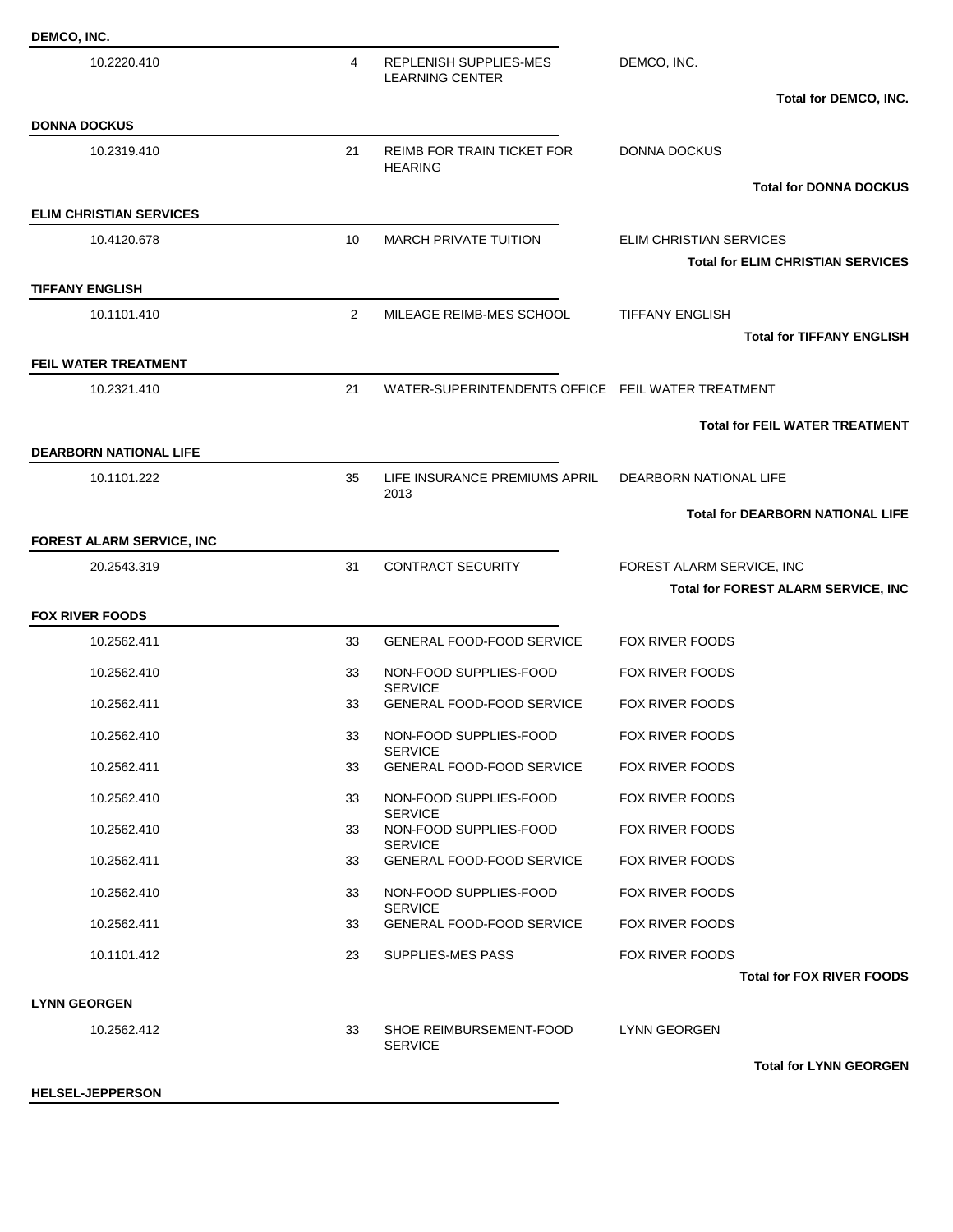| DEMCO, INC.                           |                |                                                     |                                                                         |
|---------------------------------------|----------------|-----------------------------------------------------|-------------------------------------------------------------------------|
| 10.2220.410                           | 4              | REPLENISH SUPPLIES-MES<br><b>LEARNING CENTER</b>    | DEMCO, INC.                                                             |
|                                       |                |                                                     | Total for DEMCO, INC.                                                   |
| <b>DONNA DOCKUS</b><br>10.2319.410    | 21             | <b>REIMB FOR TRAIN TICKET FOR</b><br><b>HEARING</b> | <b>DONNA DOCKUS</b>                                                     |
|                                       |                |                                                     | <b>Total for DONNA DOCKUS</b>                                           |
| <b>ELIM CHRISTIAN SERVICES</b>        |                |                                                     |                                                                         |
| 10.4120.678                           | 10             | <b>MARCH PRIVATE TUITION</b>                        | <b>ELIM CHRISTIAN SERVICES</b>                                          |
|                                       |                |                                                     | <b>Total for ELIM CHRISTIAN SERVICES</b>                                |
| <b>TIFFANY ENGLISH</b><br>10.1101.410 | $\overline{2}$ | MILEAGE REIMB-MES SCHOOL                            | <b>TIFFANY ENGLISH</b>                                                  |
|                                       |                |                                                     | <b>Total for TIFFANY ENGLISH</b>                                        |
| FEIL WATER TREATMENT                  |                |                                                     |                                                                         |
| 10.2321.410                           | 21             | WATER-SUPERINTENDENTS OFFICE FEIL WATER TREATMENT   |                                                                         |
|                                       |                |                                                     | <b>Total for FEIL WATER TREATMENT</b>                                   |
| <b>DEARBORN NATIONAL LIFE</b>         |                |                                                     |                                                                         |
| 10.1101.222                           | 35             | LIFE INSURANCE PREMIUMS APRIL<br>2013               | DEARBORN NATIONAL LIFE                                                  |
|                                       |                |                                                     | <b>Total for DEARBORN NATIONAL LIFE</b>                                 |
| FOREST ALARM SERVICE, INC             |                |                                                     |                                                                         |
| 20.2543.319                           | 31             | CONTRACT SECURITY                                   | FOREST ALARM SERVICE, INC<br><b>Total for FOREST ALARM SERVICE, INC</b> |
| <b>FOX RIVER FOODS</b>                |                |                                                     |                                                                         |
| 10.2562.411                           | 33             | <b>GENERAL FOOD-FOOD SERVICE</b>                    | <b>FOX RIVER FOODS</b>                                                  |
| 10.2562.410                           | 33             | NON-FOOD SUPPLIES-FOOD                              | FOX RIVER FOODS                                                         |
| 10.2562.411                           | 33             | <b>SERVICE</b><br><b>GENERAL FOOD-FOOD SERVICE</b>  | FOX RIVER FOODS                                                         |
| 10.2562.410                           | 33             | NON-FOOD SUPPLIES-FOOD                              | FOX RIVER FOODS                                                         |
| 10.2562.411                           | 33             | <b>SERVICE</b><br><b>GENERAL FOOD-FOOD SERVICE</b>  | <b>FOX RIVER FOODS</b>                                                  |
| 10.2562.410                           | 33             | NON-FOOD SUPPLIES-FOOD                              | FOX RIVER FOODS                                                         |
| 10.2562.410                           | 33             | <b>SERVICE</b><br>NON-FOOD SUPPLIES-FOOD            | <b>FOX RIVER FOODS</b>                                                  |
| 10.2562.411                           | 33             | <b>SERVICE</b><br><b>GENERAL FOOD-FOOD SERVICE</b>  | <b>FOX RIVER FOODS</b>                                                  |
| 10.2562.410                           | 33             | NON-FOOD SUPPLIES-FOOD                              | <b>FOX RIVER FOODS</b>                                                  |
| 10.2562.411                           | 33             | <b>SERVICE</b><br><b>GENERAL FOOD-FOOD SERVICE</b>  | FOX RIVER FOODS                                                         |
| 10.1101.412                           | 23             | SUPPLIES-MES PASS                                   | <b>FOX RIVER FOODS</b>                                                  |
|                                       |                |                                                     | <b>Total for FOX RIVER FOODS</b>                                        |
| <b>LYNN GEORGEN</b>                   |                |                                                     |                                                                         |
|                                       |                |                                                     |                                                                         |
| 10.2562.412                           | 33             | SHOE REIMBURSEMENT-FOOD<br><b>SERVICE</b>           | LYNN GEORGEN                                                            |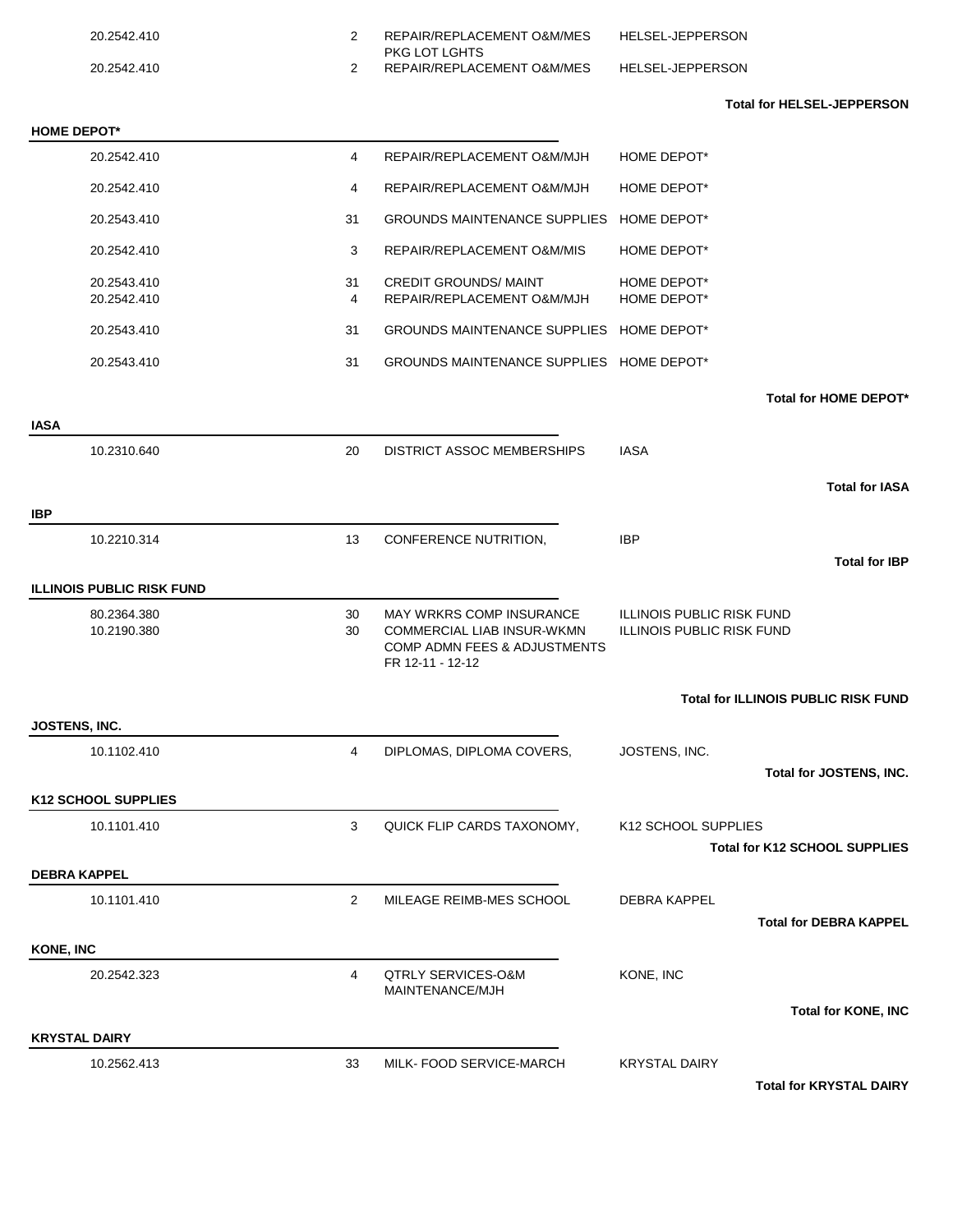| 20.2542.410                      | $\overline{2}$ | REPAIR/REPLACEMENT O&M/MES<br>PKG LOT LGHTS                                                                              | <b>HELSEL-JEPPERSON</b>                                       |
|----------------------------------|----------------|--------------------------------------------------------------------------------------------------------------------------|---------------------------------------------------------------|
| 20.2542.410                      | $\overline{2}$ | REPAIR/REPLACEMENT O&M/MES                                                                                               | HELSEL-JEPPERSON                                              |
|                                  |                |                                                                                                                          | <b>Total for HELSEL-JEPPERSON</b>                             |
| <b>HOME DEPOT*</b>               |                |                                                                                                                          |                                                               |
| 20.2542.410                      | $\overline{4}$ | REPAIR/REPLACEMENT O&M/MJH                                                                                               | HOME DEPOT*                                                   |
| 20.2542.410                      | 4              | REPAIR/REPLACEMENT O&M/MJH                                                                                               | HOME DEPOT*                                                   |
| 20.2543.410                      | 31             | GROUNDS MAINTENANCE SUPPLIES HOME DEPOT*                                                                                 |                                                               |
| 20.2542.410                      | 3              | REPAIR/REPLACEMENT O&M/MIS                                                                                               | HOME DEPOT*                                                   |
| 20.2543.410                      | 31             | <b>CREDIT GROUNDS/ MAINT</b>                                                                                             | HOME DEPOT*                                                   |
| 20.2542.410                      | 4              | REPAIR/REPLACEMENT O&M/MJH                                                                                               | HOME DEPOT*                                                   |
| 20.2543.410                      | 31             | GROUNDS MAINTENANCE SUPPLIES HOME DEPOT*                                                                                 |                                                               |
| 20.2543.410                      | 31             | GROUNDS MAINTENANCE SUPPLIES HOME DEPOT*                                                                                 |                                                               |
|                                  |                |                                                                                                                          | Total for HOME DEPOT*                                         |
| <b>IASA</b>                      |                |                                                                                                                          |                                                               |
| 10.2310.640                      | 20             | DISTRICT ASSOC MEMBERSHIPS                                                                                               | IASA                                                          |
|                                  |                |                                                                                                                          | <b>Total for IASA</b>                                         |
| <b>IBP</b>                       |                |                                                                                                                          |                                                               |
| 10.2210.314                      | 13             | CONFERENCE NUTRITION,                                                                                                    | <b>IBP</b>                                                    |
|                                  |                |                                                                                                                          | <b>Total for IBP</b>                                          |
| <b>ILLINOIS PUBLIC RISK FUND</b> |                |                                                                                                                          |                                                               |
| 80.2364.380<br>10.2190.380       | 30<br>30       | <b>MAY WRKRS COMP INSURANCE</b><br><b>COMMERCIAL LIAB INSUR-WKMN</b><br>COMP ADMN FEES & ADJUSTMENTS<br>FR 12-11 - 12-12 | ILLINOIS PUBLIC RISK FUND<br><b>ILLINOIS PUBLIC RISK FUND</b> |
|                                  |                |                                                                                                                          | <b>Total for ILLINOIS PUBLIC RISK FUND</b>                    |
| JOSTENS, INC.                    |                |                                                                                                                          |                                                               |
| 10.1102.410                      | $\overline{4}$ | DIPLOMAS, DIPLOMA COVERS,                                                                                                | JOSTENS, INC.<br>Total for JOSTENS, INC.                      |
| <b>K12 SCHOOL SUPPLIES</b>       |                |                                                                                                                          |                                                               |
| 10.1101.410                      | 3              | QUICK FLIP CARDS TAXONOMY,                                                                                               | K12 SCHOOL SUPPLIES                                           |
|                                  |                |                                                                                                                          | <b>Total for K12 SCHOOL SUPPLIES</b>                          |
| <b>DEBRA KAPPEL</b>              |                |                                                                                                                          |                                                               |
| 10.1101.410                      | $\overline{2}$ | MILEAGE REIMB-MES SCHOOL                                                                                                 | <b>DEBRA KAPPEL</b>                                           |
| <b>KONE, INC</b>                 |                |                                                                                                                          | <b>Total for DEBRA KAPPEL</b>                                 |
|                                  |                |                                                                                                                          |                                                               |
| 20.2542.323                      | $\overline{4}$ | <b>QTRLY SERVICES-O&amp;M</b><br>MAINTENANCE/MJH                                                                         | KONE, INC                                                     |
| <b>KRYSTAL DAIRY</b>             |                |                                                                                                                          | <b>Total for KONE, INC</b>                                    |
|                                  |                |                                                                                                                          |                                                               |
| 10.2562.413                      | 33             | MILK- FOOD SERVICE-MARCH                                                                                                 | <b>KRYSTAL DAIRY</b><br><b>Total for KRYSTAL DAIRY</b>        |
|                                  |                |                                                                                                                          |                                                               |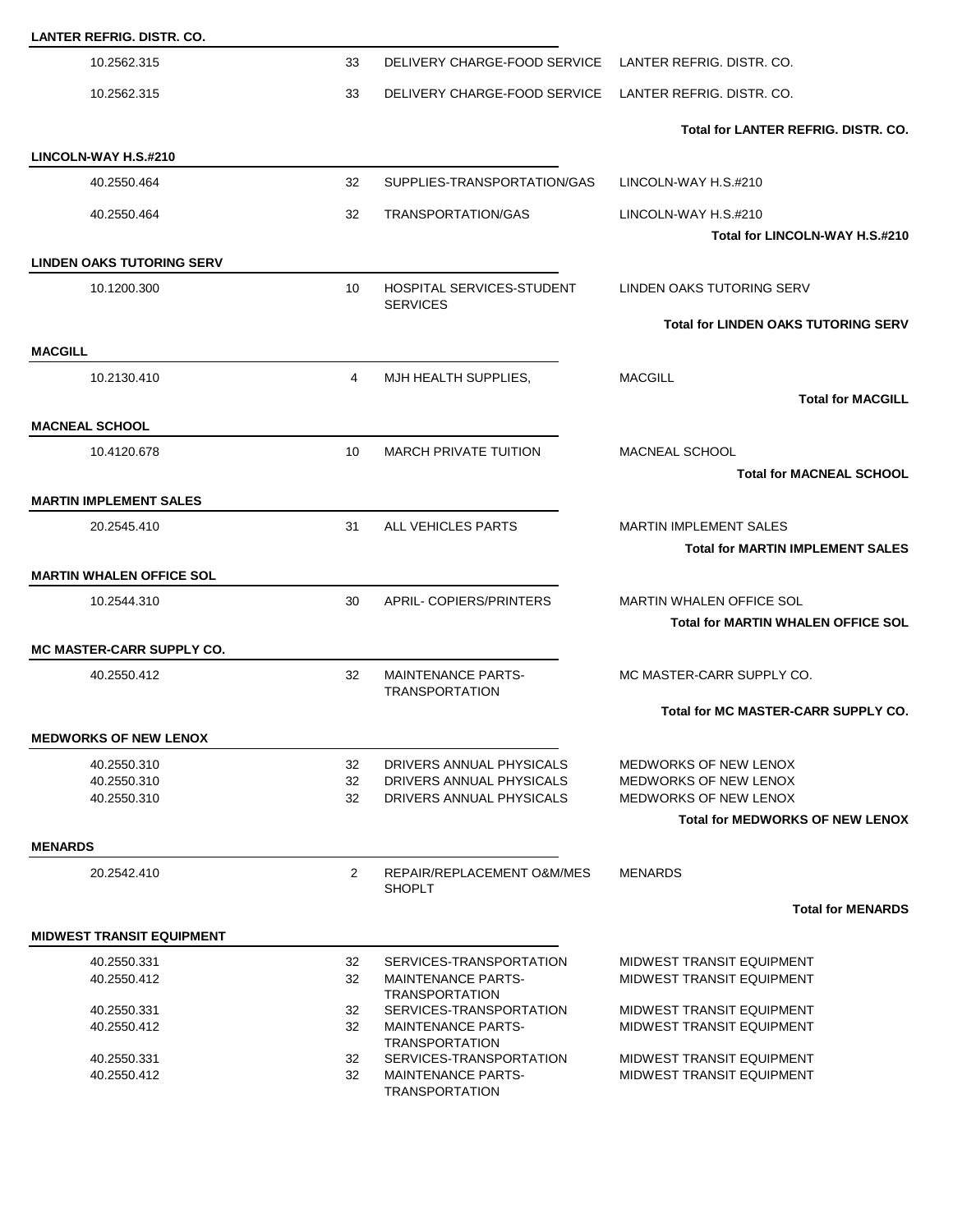| <b>LANTER REFRIG. DISTR. CO.</b> |          |                                                      |                                                       |
|----------------------------------|----------|------------------------------------------------------|-------------------------------------------------------|
| 10.2562.315                      | 33       | DELIVERY CHARGE-FOOD SERVICE                         | LANTER REFRIG. DISTR. CO.                             |
| 10.2562.315                      | 33       | DELIVERY CHARGE-FOOD SERVICE                         | LANTER REFRIG. DISTR. CO.                             |
|                                  |          |                                                      | <b>Total for LANTER REFRIG. DISTR. CO.</b>            |
| LINCOLN-WAY H.S.#210             |          |                                                      |                                                       |
| 40.2550.464                      | 32       | SUPPLIES-TRANSPORTATION/GAS                          | LINCOLN-WAY H.S.#210                                  |
| 40.2550.464                      | 32       | <b>TRANSPORTATION/GAS</b>                            | LINCOLN-WAY H.S.#210                                  |
|                                  |          |                                                      | Total for LINCOLN-WAY H.S.#210                        |
| <b>LINDEN OAKS TUTORING SERV</b> |          |                                                      |                                                       |
| 10.1200.300                      | 10       | <b>HOSPITAL SERVICES-STUDENT</b><br><b>SERVICES</b>  | LINDEN OAKS TUTORING SERV                             |
|                                  |          |                                                      | <b>Total for LINDEN OAKS TUTORING SERV</b>            |
| <b>MACGILL</b>                   |          |                                                      |                                                       |
| 10.2130.410                      | 4        | MJH HEALTH SUPPLIES,                                 | <b>MACGILL</b>                                        |
|                                  |          |                                                      | <b>Total for MACGILL</b>                              |
| <b>MACNEAL SCHOOL</b>            |          |                                                      |                                                       |
| 10.4120.678                      | 10       | <b>MARCH PRIVATE TUITION</b>                         | <b>MACNEAL SCHOOL</b>                                 |
|                                  |          |                                                      | <b>Total for MACNEAL SCHOOL</b>                       |
| <b>MARTIN IMPLEMENT SALES</b>    |          |                                                      |                                                       |
| 20.2545.410                      | 31       | ALL VEHICLES PARTS                                   | <b>MARTIN IMPLEMENT SALES</b>                         |
|                                  |          |                                                      | <b>Total for MARTIN IMPLEMENT SALES</b>               |
| <b>MARTIN WHALEN OFFICE SOL</b>  |          |                                                      |                                                       |
| 10.2544.310                      | 30       | APRIL-COPIERS/PRINTERS                               | MARTIN WHALEN OFFICE SOL                              |
|                                  |          |                                                      | <b>Total for MARTIN WHALEN OFFICE SOL</b>             |
| <b>MC MASTER-CARR SUPPLY CO.</b> |          |                                                      |                                                       |
| 40.2550.412                      | 32       | <b>MAINTENANCE PARTS-</b><br><b>TRANSPORTATION</b>   | MC MASTER-CARR SUPPLY CO.                             |
|                                  |          |                                                      | Total for MC MASTER-CARR SUPPLY CO.                   |
| <b>MEDWORKS OF NEW LENOX</b>     |          |                                                      |                                                       |
| 40.2550.310                      | 32       | DRIVERS ANNUAL PHYSICALS                             | <b>MEDWORKS OF NEW LENOX</b>                          |
| 40.2550.310<br>40.2550.310       | 32<br>32 | DRIVERS ANNUAL PHYSICALS<br>DRIVERS ANNUAL PHYSICALS | <b>MEDWORKS OF NEW LENOX</b><br>MEDWORKS OF NEW LENOX |
|                                  |          |                                                      | <b>Total for MEDWORKS OF NEW LENOX</b>                |
| <b>MENARDS</b>                   |          |                                                      |                                                       |
| 20.2542.410                      | 2        | REPAIR/REPLACEMENT O&M/MES<br><b>SHOPLT</b>          | <b>MENARDS</b>                                        |
|                                  |          |                                                      | <b>Total for MENARDS</b>                              |
| <b>MIDWEST TRANSIT EQUIPMENT</b> |          |                                                      |                                                       |
| 40.2550.331                      | 32       | SERVICES-TRANSPORTATION                              | <b>MIDWEST TRANSIT EQUIPMENT</b>                      |
| 40.2550.412                      | 32       | <b>MAINTENANCE PARTS-</b>                            | MIDWEST TRANSIT EQUIPMENT                             |
| 40.2550.331                      | 32       | <b>TRANSPORTATION</b><br>SERVICES-TRANSPORTATION     | MIDWEST TRANSIT EQUIPMENT                             |
| 40.2550.412                      | 32       | <b>MAINTENANCE PARTS-</b>                            | <b>MIDWEST TRANSIT EQUIPMENT</b>                      |
| 40.2550.331                      | 32       | <b>TRANSPORTATION</b><br>SERVICES-TRANSPORTATION     | <b>MIDWEST TRANSIT EQUIPMENT</b>                      |
| 40.2550.412                      | 32       | <b>MAINTENANCE PARTS-</b><br><b>TRANSPORTATION</b>   | <b>MIDWEST TRANSIT EQUIPMENT</b>                      |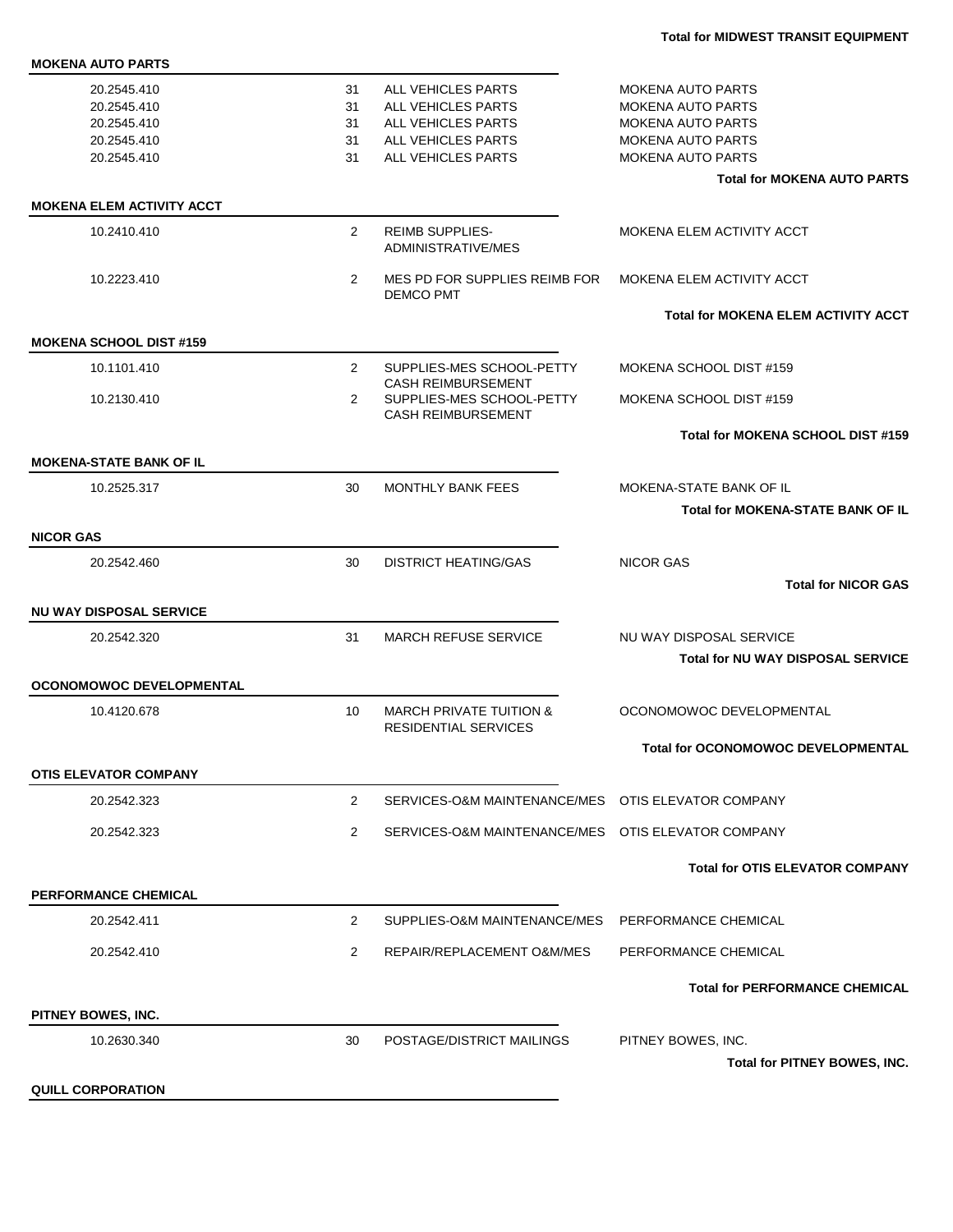| <b>MOKENA AUTO PARTS</b>         |                |                                                                   |                                            |
|----------------------------------|----------------|-------------------------------------------------------------------|--------------------------------------------|
| 20.2545.410                      | 31             | ALL VEHICLES PARTS                                                | <b>MOKENA AUTO PARTS</b>                   |
| 20.2545.410                      | 31             | ALL VEHICLES PARTS                                                | <b>MOKENA AUTO PARTS</b>                   |
| 20.2545.410                      | 31             | ALL VEHICLES PARTS                                                | <b>MOKENA AUTO PARTS</b>                   |
| 20.2545.410                      | 31             | <b>ALL VEHICLES PARTS</b>                                         | <b>MOKENA AUTO PARTS</b>                   |
| 20.2545.410                      | 31             | ALL VEHICLES PARTS                                                | <b>MOKENA AUTO PARTS</b>                   |
|                                  |                |                                                                   | <b>Total for MOKENA AUTO PARTS</b>         |
| <b>MOKENA ELEM ACTIVITY ACCT</b> |                |                                                                   |                                            |
| 10.2410.410                      | $\overline{2}$ | <b>REIMB SUPPLIES-</b><br>ADMINISTRATIVE/MES                      | MOKENA ELEM ACTIVITY ACCT                  |
| 10.2223.410                      | $\overline{2}$ | MES PD FOR SUPPLIES REIMB FOR<br><b>DEMCO PMT</b>                 | MOKENA ELEM ACTIVITY ACCT                  |
|                                  |                |                                                                   | <b>Total for MOKENA ELEM ACTIVITY ACCT</b> |
| <b>MOKENA SCHOOL DIST #159</b>   |                |                                                                   |                                            |
| 10.1101.410                      | $\overline{2}$ | SUPPLIES-MES SCHOOL-PETTY<br><b>CASH REIMBURSEMENT</b>            | MOKENA SCHOOL DIST #159                    |
| 10.2130.410                      | $\overline{2}$ | SUPPLIES-MES SCHOOL-PETTY<br><b>CASH REIMBURSEMENT</b>            | MOKENA SCHOOL DIST #159                    |
|                                  |                |                                                                   | Total for MOKENA SCHOOL DIST #159          |
| <b>MOKENA-STATE BANK OF IL</b>   |                |                                                                   |                                            |
| 10.2525.317                      | 30             | MONTHLY BANK FEES                                                 | MOKENA-STATE BANK OF IL                    |
|                                  |                |                                                                   | <b>Total for MOKENA-STATE BANK OF IL</b>   |
| <b>NICOR GAS</b>                 |                |                                                                   |                                            |
| 20.2542.460                      | 30             | <b>DISTRICT HEATING/GAS</b>                                       | <b>NICOR GAS</b>                           |
|                                  |                |                                                                   | <b>Total for NICOR GAS</b>                 |
| <b>NU WAY DISPOSAL SERVICE</b>   |                |                                                                   |                                            |
| 20.2542.320                      | 31             | <b>MARCH REFUSE SERVICE</b>                                       | NU WAY DISPOSAL SERVICE                    |
|                                  |                |                                                                   | <b>Total for NU WAY DISPOSAL SERVICE</b>   |
| <b>OCONOMOWOC DEVELOPMENTAL</b>  |                |                                                                   |                                            |
| 10.4120.678                      | 10             | <b>MARCH PRIVATE TUITION &amp;</b><br><b>RESIDENTIAL SERVICES</b> | OCONOMOWOC DEVELOPMENTAL                   |
|                                  |                |                                                                   | Total for OCONOMOWOC DEVELOPMENTAL         |
| <b>OTIS ELEVATOR COMPANY</b>     |                |                                                                   |                                            |
| 20.2542.323                      | $\overline{2}$ | SERVICES-O&M MAINTENANCE/MES OTIS ELEVATOR COMPANY                |                                            |
| 20.2542.323                      | $\overline{2}$ | SERVICES-O&M MAINTENANCE/MES OTIS ELEVATOR COMPANY                |                                            |
|                                  |                |                                                                   | <b>Total for OTIS ELEVATOR COMPANY</b>     |
| <b>PERFORMANCE CHEMICAL</b>      |                |                                                                   |                                            |
| 20.2542.411                      | $\overline{2}$ | SUPPLIES-O&M MAINTENANCE/MES PERFORMANCE CHEMICAL                 |                                            |
| 20.2542.410                      | $\overline{2}$ | REPAIR/REPLACEMENT O&M/MES                                        | PERFORMANCE CHEMICAL                       |
|                                  |                |                                                                   | <b>Total for PERFORMANCE CHEMICAL</b>      |
| PITNEY BOWES, INC.               |                |                                                                   |                                            |
| 10.2630.340                      | 30             | POSTAGE/DISTRICT MAILINGS                                         | PITNEY BOWES, INC.                         |
|                                  |                |                                                                   | Total for PITNEY BOWES, INC.               |
| <b>QUILL CORPORATION</b>         |                |                                                                   |                                            |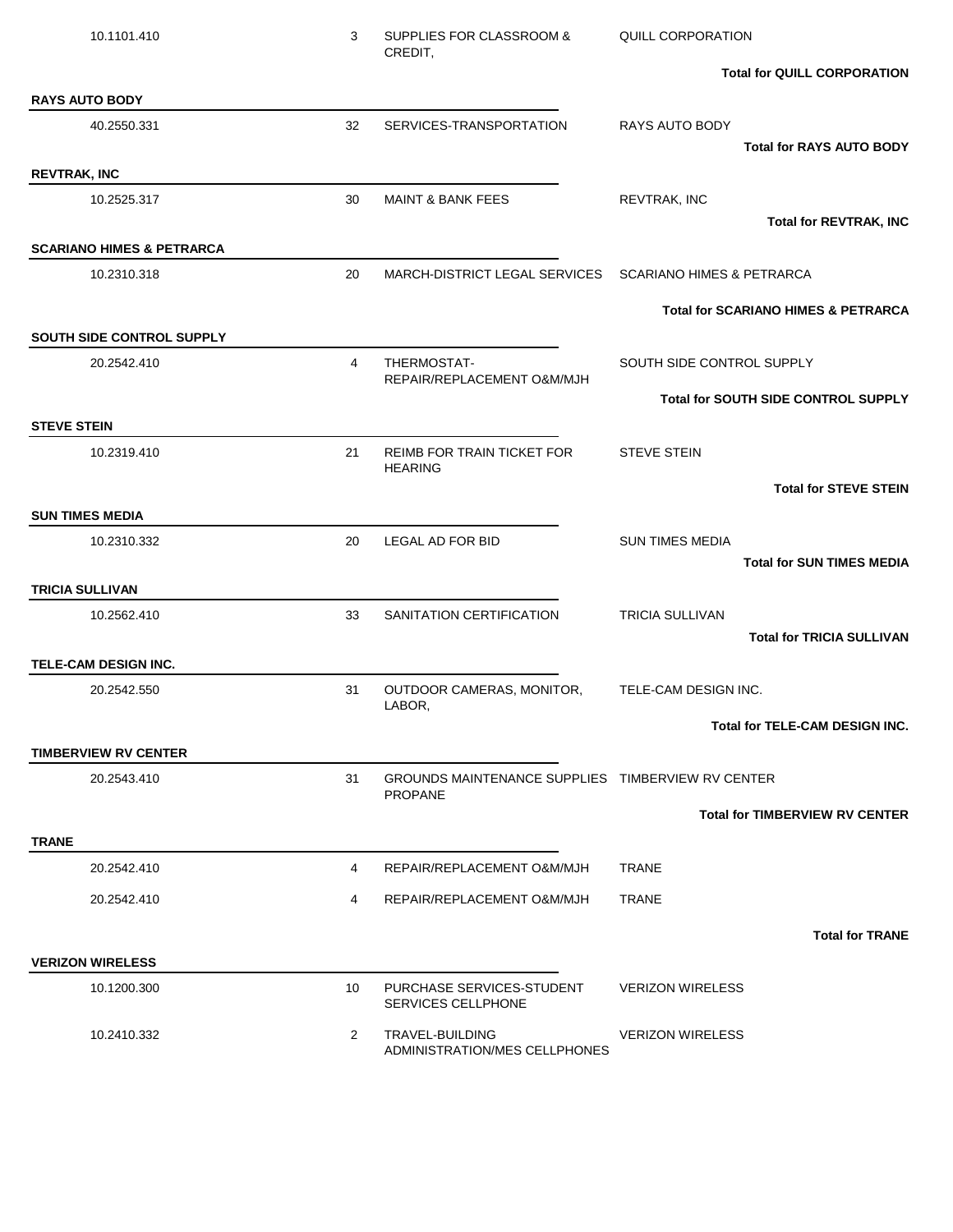| 10.1101.410                                | 3              | SUPPLIES FOR CLASSROOM &<br>CREDIT,                    | QUILL CORPORATION                                          |
|--------------------------------------------|----------------|--------------------------------------------------------|------------------------------------------------------------|
|                                            |                |                                                        | <b>Total for QUILL CORPORATION</b>                         |
| <b>RAYS AUTO BODY</b>                      |                |                                                        |                                                            |
| 40.2550.331                                | 32             | SERVICES-TRANSPORTATION                                | <b>RAYS AUTO BODY</b><br><b>Total for RAYS AUTO BODY</b>   |
| <b>REVTRAK, INC</b>                        |                |                                                        |                                                            |
| 10.2525.317                                | 30             | <b>MAINT &amp; BANK FEES</b>                           | REVTRAK, INC                                               |
|                                            |                |                                                        | <b>Total for REVTRAK, INC</b>                              |
| <b>SCARIANO HIMES &amp; PETRARCA</b>       |                |                                                        |                                                            |
| 10.2310.318                                | 20             | MARCH-DISTRICT LEGAL SERVICES                          | <b>SCARIANO HIMES &amp; PETRARCA</b>                       |
|                                            |                |                                                        | <b>Total for SCARIANO HIMES &amp; PETRARCA</b>             |
| <b>SOUTH SIDE CONTROL SUPPLY</b>           |                |                                                        |                                                            |
| 20.2542.410                                | $\overline{4}$ | THERMOSTAT-<br>REPAIR/REPLACEMENT O&M/MJH              | SOUTH SIDE CONTROL SUPPLY                                  |
|                                            |                |                                                        | <b>Total for SOUTH SIDE CONTROL SUPPLY</b>                 |
| <b>STEVE STEIN</b>                         |                |                                                        |                                                            |
| 10.2319.410                                | 21             | <b>REIMB FOR TRAIN TICKET FOR</b><br><b>HEARING</b>    | <b>STEVE STEIN</b>                                         |
|                                            |                |                                                        | <b>Total for STEVE STEIN</b>                               |
| <b>SUN TIMES MEDIA</b>                     |                |                                                        |                                                            |
| 10.2310.332                                | 20             | LEGAL AD FOR BID                                       | <b>SUN TIMES MEDIA</b>                                     |
|                                            |                |                                                        | <b>Total for SUN TIMES MEDIA</b>                           |
| <b>TRICIA SULLIVAN</b>                     |                |                                                        |                                                            |
| 10.2562.410                                | 33             | SANITATION CERTIFICATION                               | <b>TRICIA SULLIVAN</b><br><b>Total for TRICIA SULLIVAN</b> |
| TELE-CAM DESIGN INC.                       |                |                                                        |                                                            |
| 20.2542.550                                | 31             | OUTDOOR CAMERAS, MONITOR,                              | TELE-CAM DESIGN INC.                                       |
|                                            |                | LABOR,                                                 |                                                            |
|                                            |                |                                                        | Total for TELE-CAM DESIGN INC.                             |
| <b>TIMBERVIEW RV CENTER</b><br>20.2543.410 | 31             | GROUNDS MAINTENANCE SUPPLIES TIMBERVIEW RV CENTER      |                                                            |
|                                            |                | <b>PROPANE</b>                                         |                                                            |
|                                            |                |                                                        | <b>Total for TIMBERVIEW RV CENTER</b>                      |
| <b>TRANE</b>                               |                |                                                        |                                                            |
| 20.2542.410                                | 4              | REPAIR/REPLACEMENT O&M/MJH                             | <b>TRANE</b>                                               |
| 20.2542.410                                | 4              | REPAIR/REPLACEMENT O&M/MJH                             | <b>TRANE</b>                                               |
|                                            |                |                                                        | <b>Total for TRANE</b>                                     |
| <b>VERIZON WIRELESS</b>                    |                |                                                        |                                                            |
| 10.1200.300                                | 10             | PURCHASE SERVICES-STUDENT<br><b>SERVICES CELLPHONE</b> | <b>VERIZON WIRELESS</b>                                    |
| 10.2410.332                                | 2              | TRAVEL-BUILDING                                        | <b>VERIZON WIRELESS</b>                                    |
|                                            |                | ADMINISTRATION/MES CELLPHONES                          |                                                            |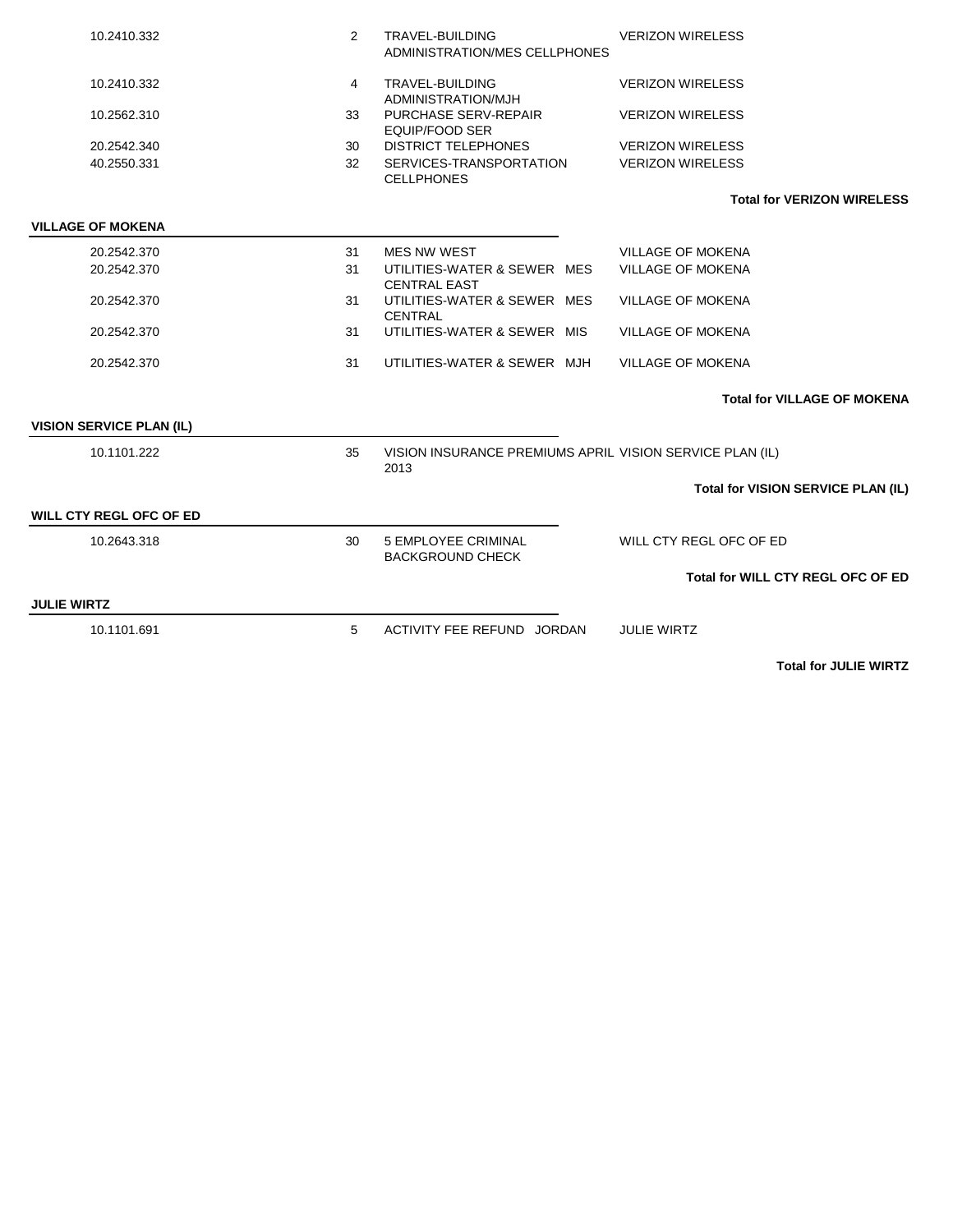| 10.2410.332                     | 2  | TRAVEL-BUILDING<br>ADMINISTRATION/MES CELLPHONES                 | <b>VERIZON WIRELESS</b>                   |
|---------------------------------|----|------------------------------------------------------------------|-------------------------------------------|
| 10.2410.332                     | 4  | TRAVEL-BUILDING<br>ADMINISTRATION/MJH                            | <b>VERIZON WIRELESS</b>                   |
| 10.2562.310                     | 33 | PURCHASE SERV-REPAIR<br><b>EQUIP/FOOD SER</b>                    | <b>VERIZON WIRELESS</b>                   |
| 20.2542.340                     | 30 | <b>DISTRICT TELEPHONES</b>                                       | <b>VERIZON WIRELESS</b>                   |
| 40.2550.331                     | 32 | SERVICES-TRANSPORTATION<br><b>CELLPHONES</b>                     | <b>VERIZON WIRELESS</b>                   |
|                                 |    |                                                                  | <b>Total for VERIZON WIRELESS</b>         |
| <b>VILLAGE OF MOKENA</b>        |    |                                                                  |                                           |
| 20.2542.370                     | 31 | <b>MES NW WEST</b>                                               | <b>VILLAGE OF MOKENA</b>                  |
| 20.2542.370                     | 31 | UTILITIES-WATER & SEWER MES<br><b>CENTRAL EAST</b>               | VILLAGE OF MOKENA                         |
| 20.2542.370                     | 31 | UTILITIES-WATER & SEWER MES<br><b>CENTRAL</b>                    | <b>VILLAGE OF MOKENA</b>                  |
| 20.2542.370                     | 31 | UTILITIES-WATER & SEWER MIS                                      | <b>VILLAGE OF MOKENA</b>                  |
| 20.2542.370                     | 31 | UTILITIES-WATER & SEWER MJH                                      | <b>VILLAGE OF MOKENA</b>                  |
|                                 |    |                                                                  | <b>Total for VILLAGE OF MOKENA</b>        |
| <b>VISION SERVICE PLAN (IL)</b> |    |                                                                  |                                           |
| 10.1101.222                     | 35 | VISION INSURANCE PREMIUMS APRIL VISION SERVICE PLAN (IL)<br>2013 |                                           |
|                                 |    |                                                                  | <b>Total for VISION SERVICE PLAN (IL)</b> |
| <b>WILL CTY REGL OFC OF ED</b>  |    |                                                                  |                                           |
| 10.2643.318                     | 30 | <b>5 EMPLOYEE CRIMINAL</b><br><b>BACKGROUND CHECK</b>            | WILL CTY REGL OFC OF ED                   |
|                                 |    |                                                                  | <b>Total for WILL CTY REGL OFC OF ED</b>  |
| <b>JULIE WIRTZ</b>              |    |                                                                  |                                           |
| 10.1101.691                     | 5  | ACTIVITY FEE REFUND JORDAN                                       | <b>JULIE WIRTZ</b>                        |

**Total for JULIE WIRTZ**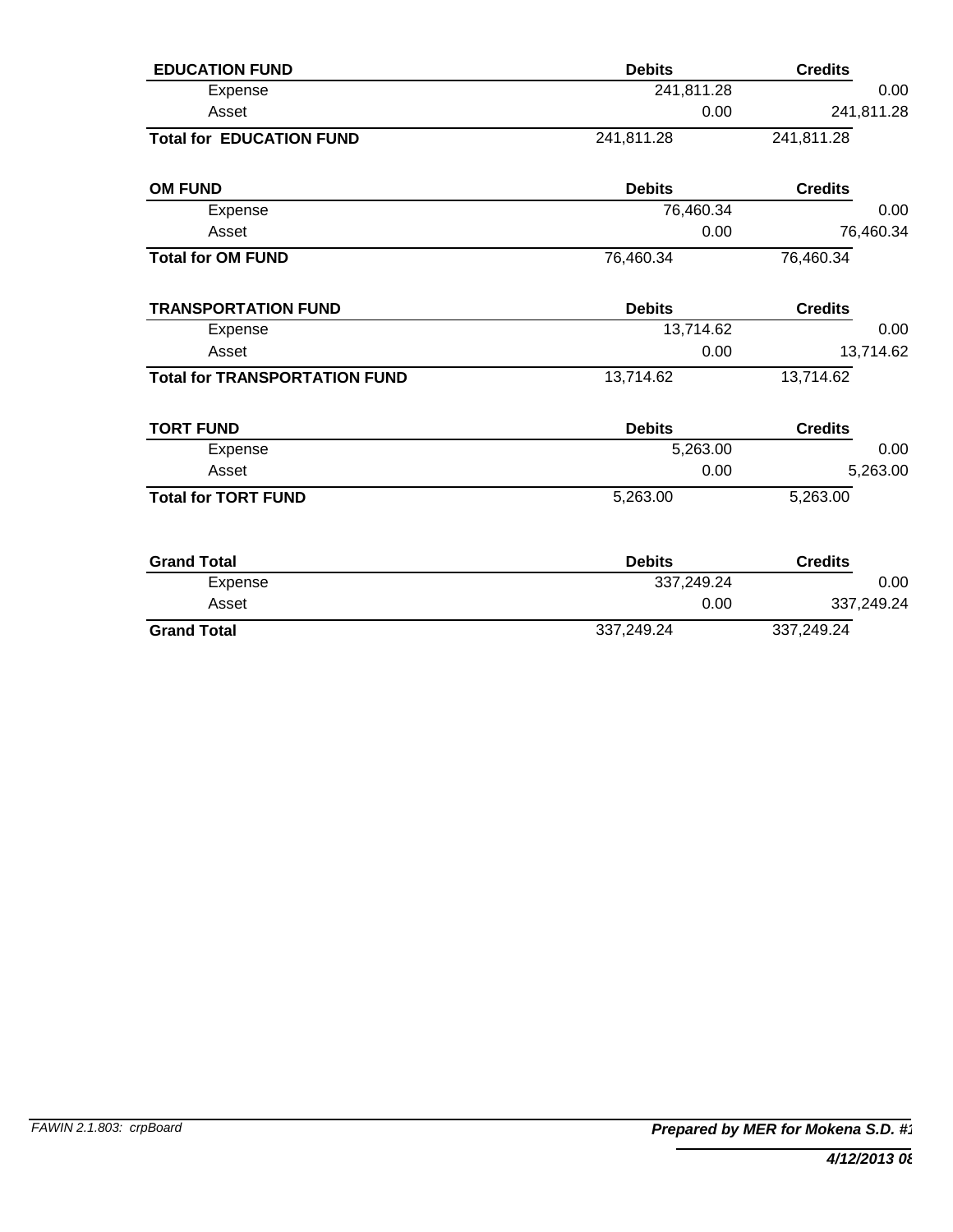| <b>EDUCATION FUND</b>                | <b>Debits</b> | <b>Credits</b> |
|--------------------------------------|---------------|----------------|
| Expense                              | 241,811.28    | 0.00           |
| Asset                                | 0.00          | 241,811.28     |
| <b>Total for EDUCATION FUND</b>      | 241,811.28    | 241,811.28     |
| <b>OM FUND</b>                       | <b>Debits</b> | <b>Credits</b> |
| Expense                              | 76,460.34     | 0.00           |
| Asset                                | 0.00          | 76,460.34      |
| <b>Total for OM FUND</b>             | 76,460.34     | 76,460.34      |
| <b>TRANSPORTATION FUND</b>           | <b>Debits</b> | <b>Credits</b> |
| Expense                              | 13,714.62     | 0.00           |
| Asset                                | 0.00          | 13,714.62      |
| <b>Total for TRANSPORTATION FUND</b> | 13,714.62     | 13,714.62      |
| <b>TORT FUND</b>                     | <b>Debits</b> | <b>Credits</b> |
| Expense                              | 5,263.00      | 0.00           |
| Asset                                | 0.00          | 5,263.00       |
| <b>Total for TORT FUND</b>           | 5,263.00      | 5,263.00       |
| <b>Grand Total</b>                   | <b>Debits</b> | <b>Credits</b> |
| Expense                              | 337,249.24    | 0.00           |
| Asset                                | 0.00          | 337,249.24     |
| <b>Grand Total</b>                   | 337,249.24    | 337,249.24     |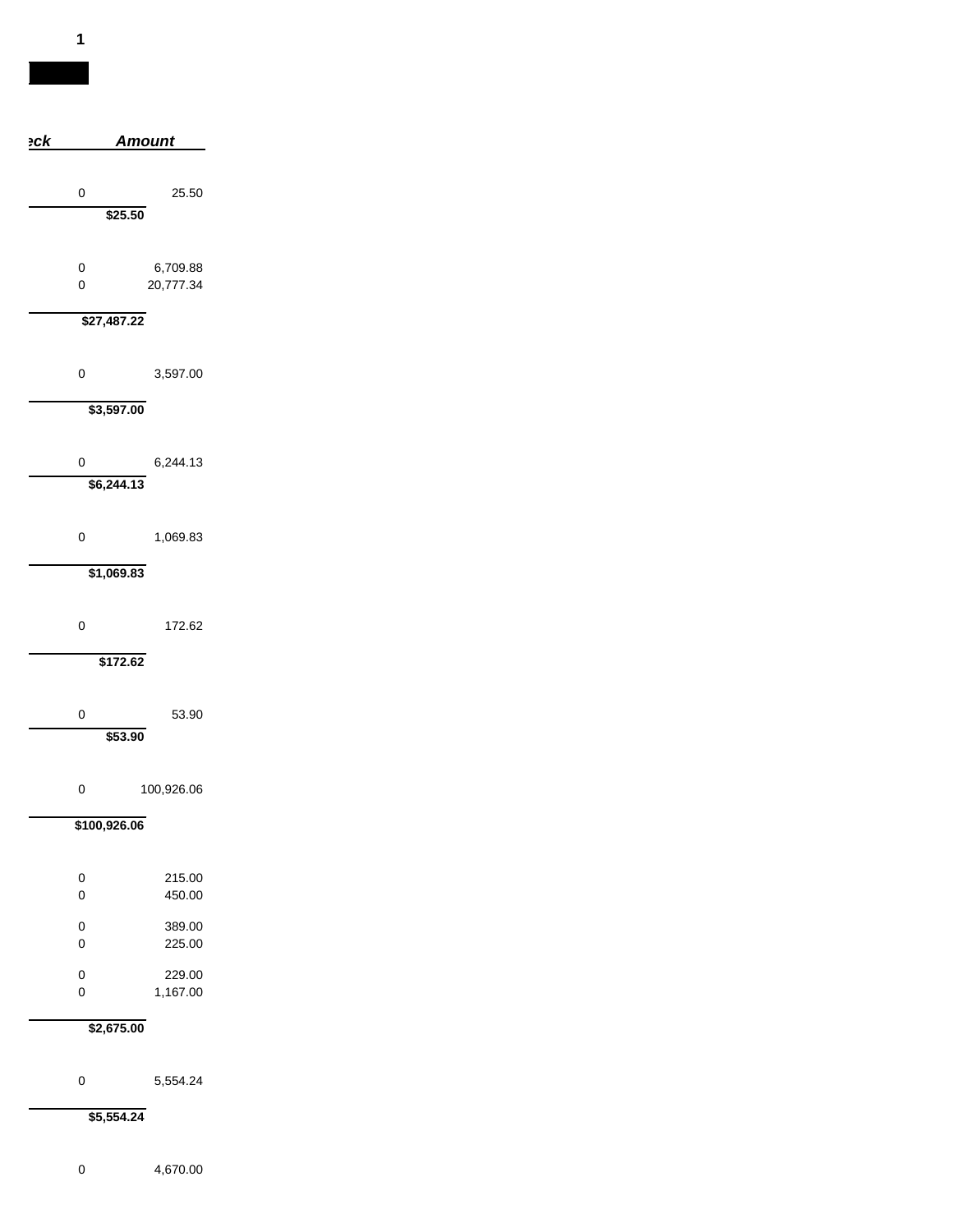| ٦<br>×. |  |
|---------|--|
|         |  |

| <u>eck</u>       | <u>Amount</u>         |
|------------------|-----------------------|
| 0                | 25.50                 |
|                  | \$25.50               |
| 0<br>$\mathbf 0$ | 6,709.88<br>20,777.34 |
| \$27,487.22      |                       |
| $\mathbf 0$      | 3,597.00              |
| \$3,597.00       |                       |
| 0<br>\$6,244.13  | 6,244.13              |
| $\mathbf 0$      | 1,069.83              |
| \$1,069.83       |                       |
| $\mathbf 0$      | 172.62                |
|                  | \$172.62              |
| 0                | 53.90<br>\$53.90      |
|                  |                       |
| 0                | 100,926.06            |
| \$100,926.06     |                       |
| 0<br>$\mathbf 0$ | 215.00<br>450.00      |
| 0<br>0           | 389.00<br>225.00      |
| 0<br>$\mathbf 0$ | 229.00<br>1,167.00    |
| \$2,675.00       |                       |
| 0                | 5,554.24              |

**\$5,554.24**

4,670.00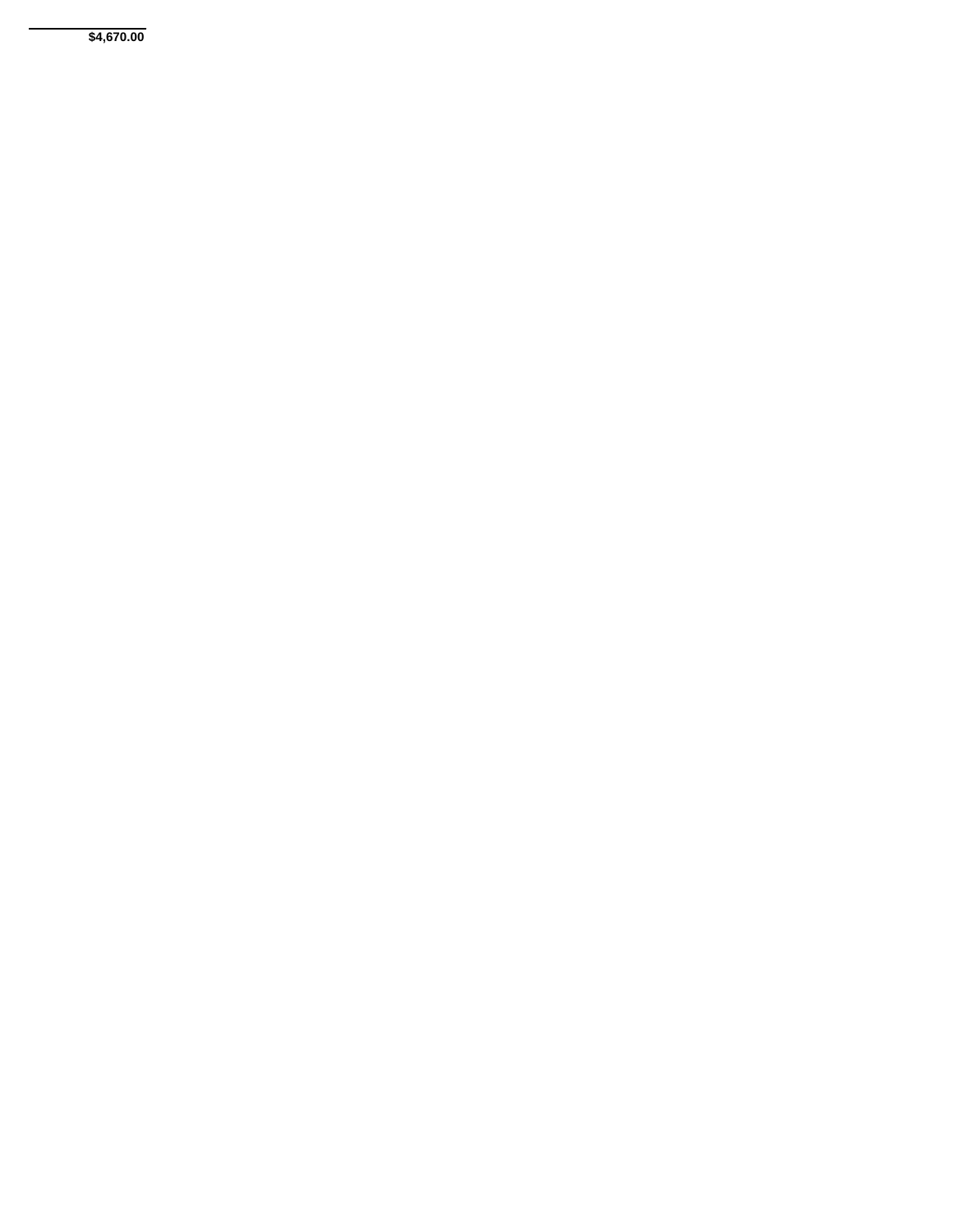**\$4,670.00**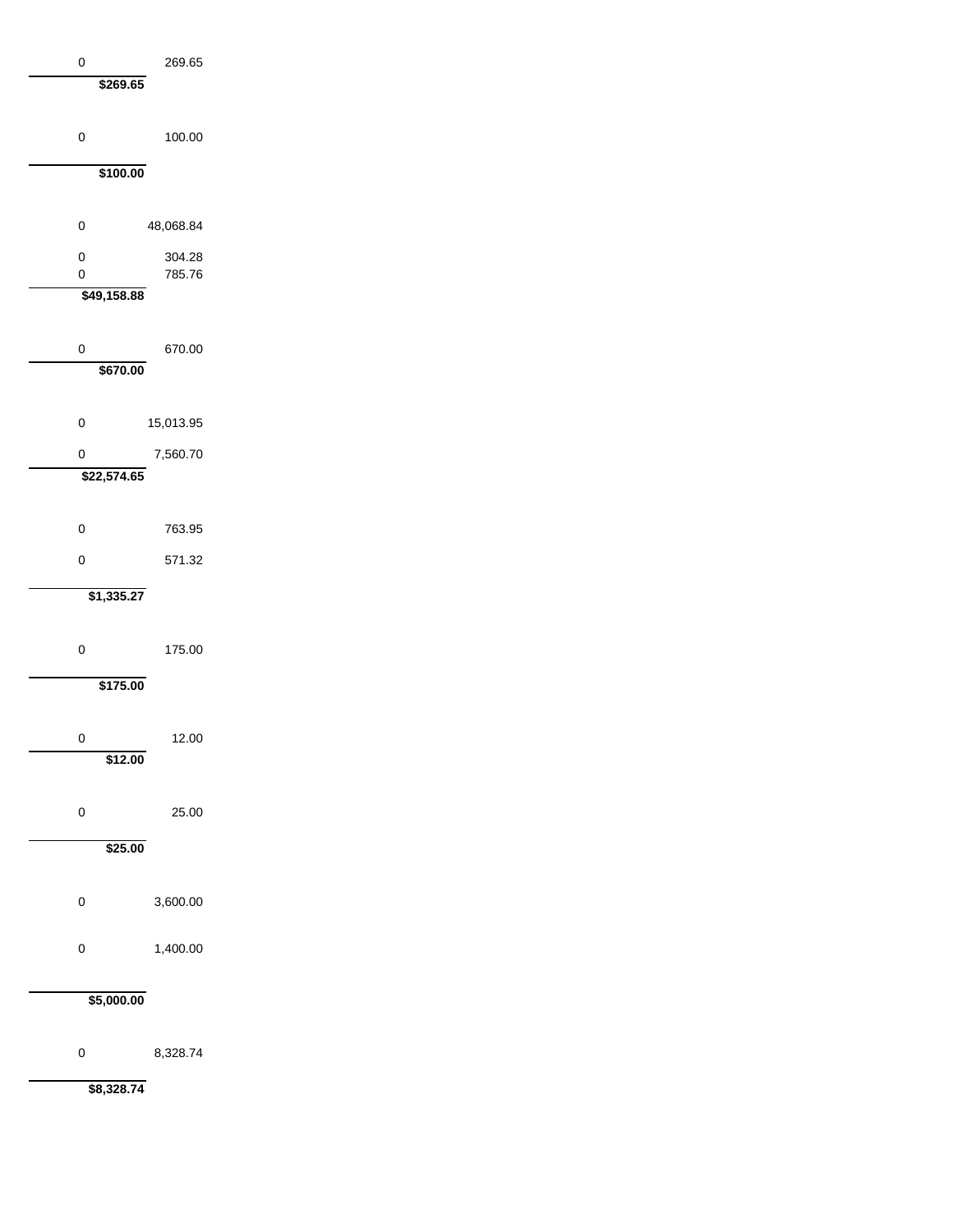| 0<br>\$269.65 | 269.65           |
|---------------|------------------|
| 0             | 100.00           |
| \$100.00      |                  |
| 0             | 48,068.84        |
| 0<br>0        | 304.28<br>785.76 |
| \$49,158.88   |                  |
| 0<br>\$670.00 | 670.00           |
| 0             | 15,013.95        |
| 0             | 7,560.70         |
| \$22,574.65   |                  |
| 0             | 763.95           |
| 0             | 571.32           |
| \$1,335.27    |                  |
| 0             | 175.00           |
| \$175.00      |                  |
| 0<br>\$12.00  | 12.00            |
| 0<br>\$25.00  | 25.00            |
|               |                  |
| 0             | 3,600.00         |
| 0             | 1,400.00         |
| \$5,000.00    |                  |

0 8,328.74

**\$8,328.74**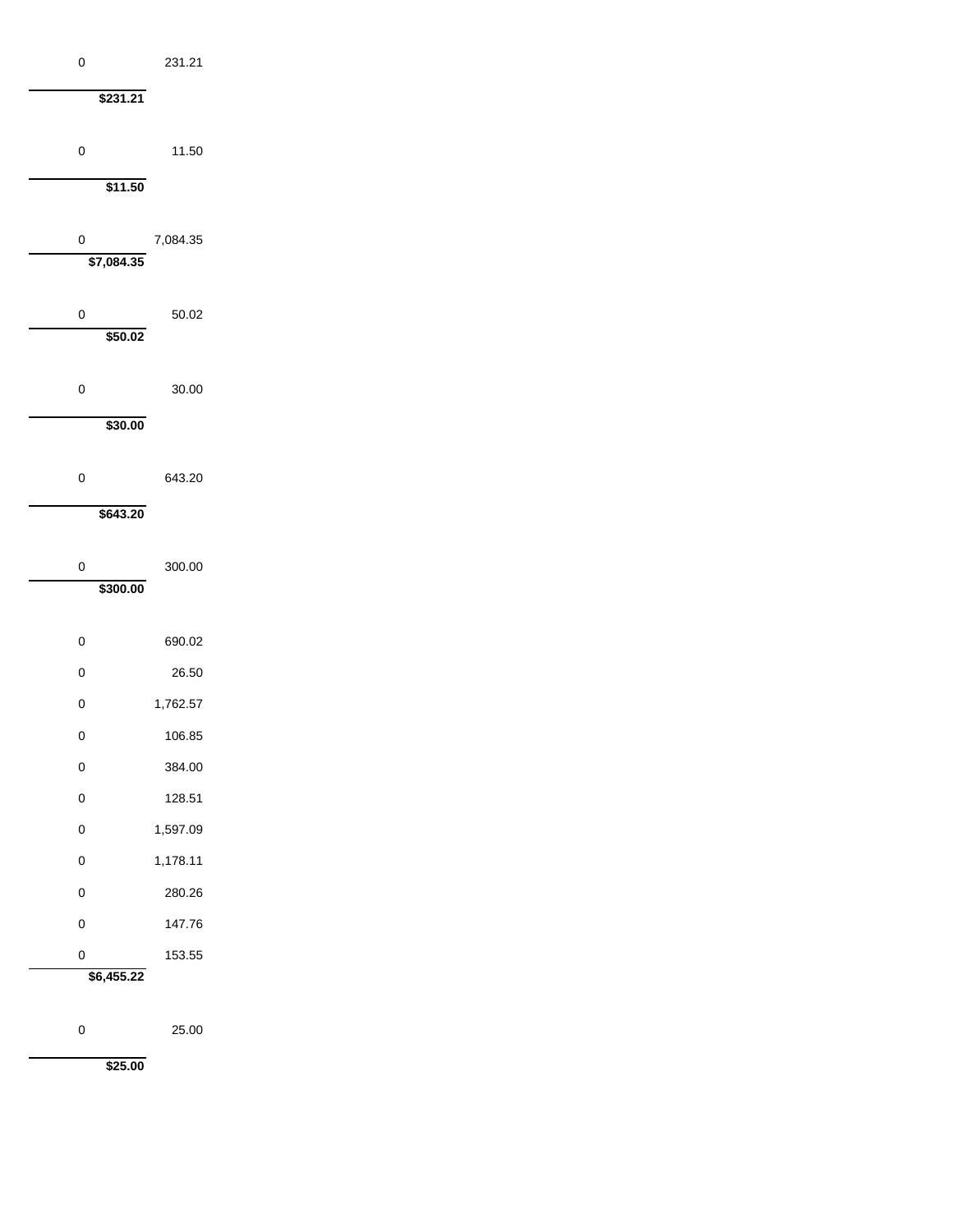| 0               | 231.21   |  |
|-----------------|----------|--|
| \$231.21        |          |  |
|                 |          |  |
| 0               | 11.50    |  |
| \$11.50         |          |  |
|                 |          |  |
| 0<br>\$7,084.35 | 7,084.35 |  |
|                 |          |  |
| 0               | 50.02    |  |
| \$50.02         |          |  |
| 0               | 30.00    |  |
| \$30.00         |          |  |
|                 |          |  |
| 0               | 643.20   |  |
| \$643.20        |          |  |
|                 |          |  |
| 0<br>\$300.00   | 300.00   |  |
|                 |          |  |
| 0               | 690.02   |  |
| 0               | 26.50    |  |
| 0               | 1,762.57 |  |
| 0               | 106.85   |  |
| 0               | 384.00   |  |
| 0               | 128.51   |  |
| 0               | 1,597.09 |  |
| 0               | 1,178.11 |  |
| 0               | 280.26   |  |
| $\mathbf 0$     | 147.76   |  |
| 0               | 153.55   |  |
| \$6,455.22      |          |  |

**\$25.00**

25.00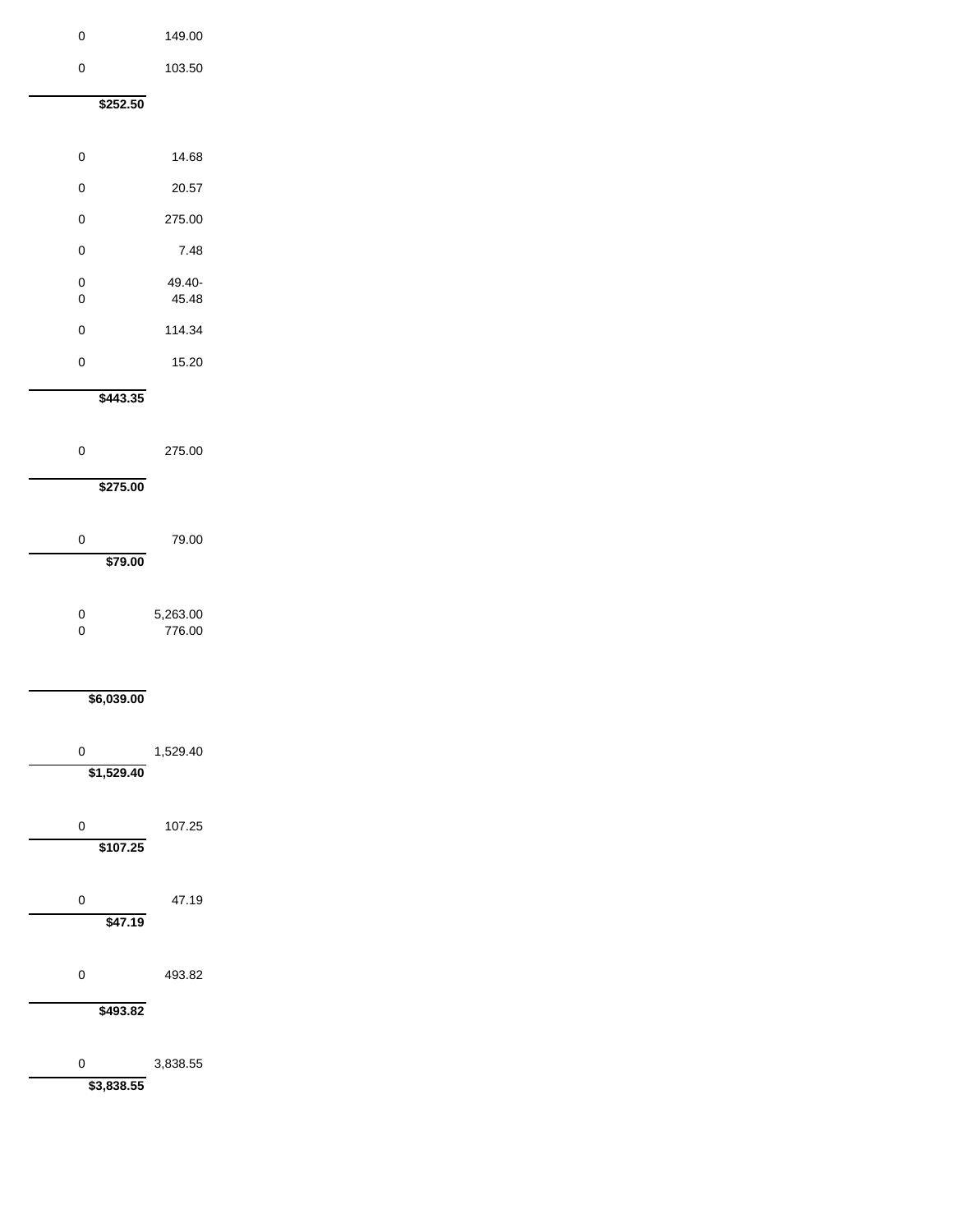| 0               | 149.00             |
|-----------------|--------------------|
| 0               | 103.50             |
| \$252.50        |                    |
|                 |                    |
| 0               | 14.68              |
| 0               | 20.57              |
| 0               | 275.00             |
| 0               | 7.48               |
| 0<br>0          | 49.40-<br>45.48    |
| 0               | 114.34             |
| 0               | 15.20              |
| \$443.35        |                    |
|                 |                    |
| 0               | 275.00             |
| \$275.00        |                    |
| 0               |                    |
| \$79.00         | 79.00              |
|                 |                    |
| 0<br>0          | 5,263.00<br>776.00 |
|                 |                    |
| \$6,039.00      |                    |
|                 |                    |
| 0               | 1,529.40           |
| \$1,529.40      |                    |
| 0               | 107.25             |
| \$107.25        |                    |
|                 |                    |
| 0<br>\$47.19    | 47.19              |
|                 |                    |
| 0               | 493.82             |
| \$493.82        |                    |
|                 |                    |
| 0<br>\$3,838.55 | 3,838.55           |
|                 |                    |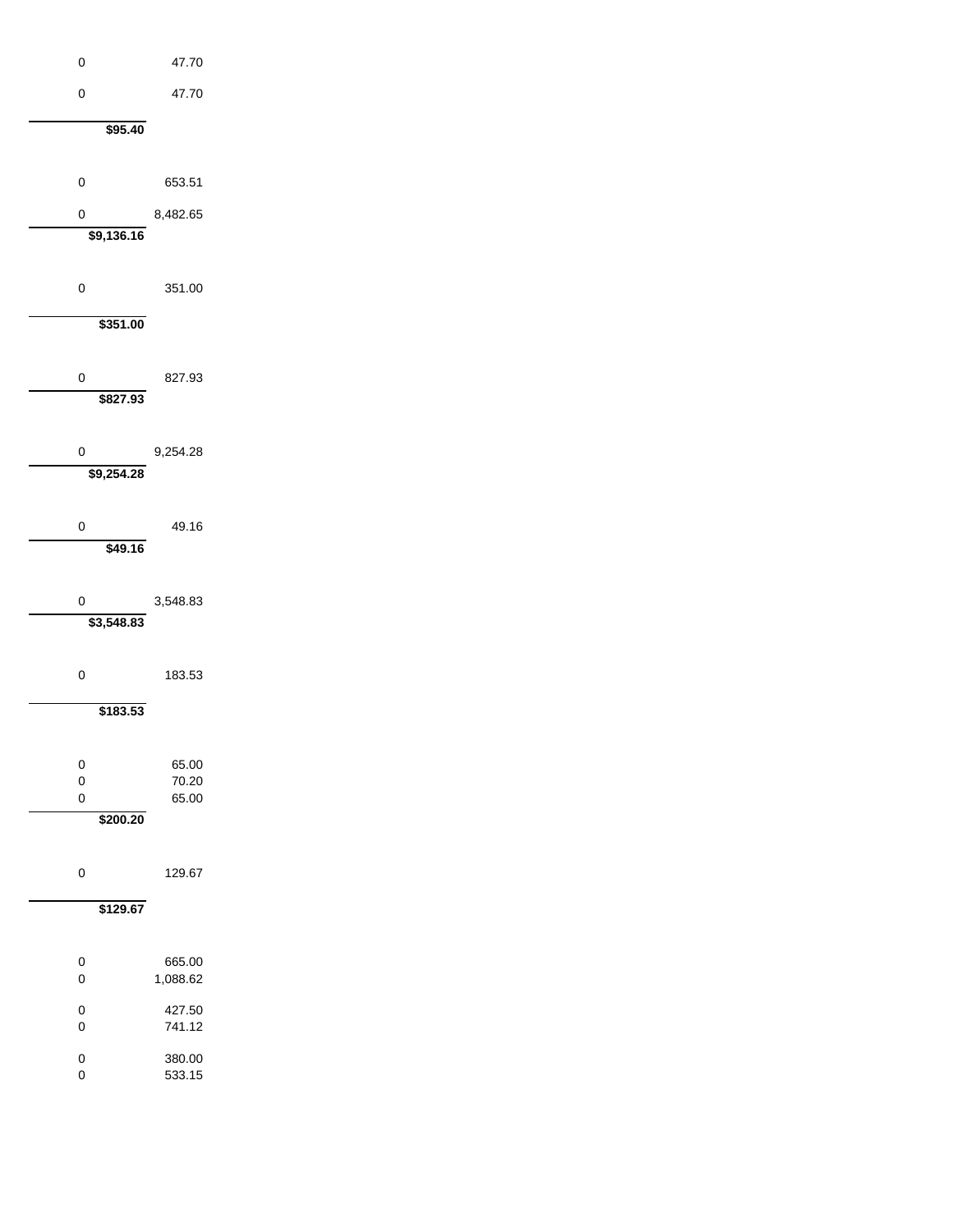| 0                       | 47.70            |  |
|-------------------------|------------------|--|
| 0                       | 47.70            |  |
| \$95.40                 |                  |  |
|                         |                  |  |
| $\mathbf 0$             | 653.51           |  |
| $\mathbf 0$             | 8,482.65         |  |
| \$9,136.16              |                  |  |
|                         |                  |  |
| $\mathbf 0$             | 351.00           |  |
| \$351.00                |                  |  |
|                         |                  |  |
| $\mathbf 0$<br>\$827.93 | 827.93           |  |
|                         |                  |  |
| 0                       | 9,254.28         |  |
| \$9,254.28              |                  |  |
|                         |                  |  |
| 0<br>\$49.16            | 49.16            |  |
|                         |                  |  |
| 0                       | 3,548.83         |  |
| \$3,548.83              |                  |  |
| 0                       | 183.53           |  |
|                         |                  |  |
| \$183.53                |                  |  |
| 0                       | 65.00            |  |
| 0                       | 70.20            |  |
| $\mathbf 0$<br>\$200.20 | 65.00            |  |
|                         |                  |  |
| 0                       | 129.67           |  |
| \$129.67                |                  |  |
|                         |                  |  |
| 0                       | 665.00           |  |
| 0                       | 1,088.62         |  |
| 0<br>$\mathbf 0$        | 427.50<br>741.12 |  |
| 0                       | 380.00           |  |
| 0                       | 533.15           |  |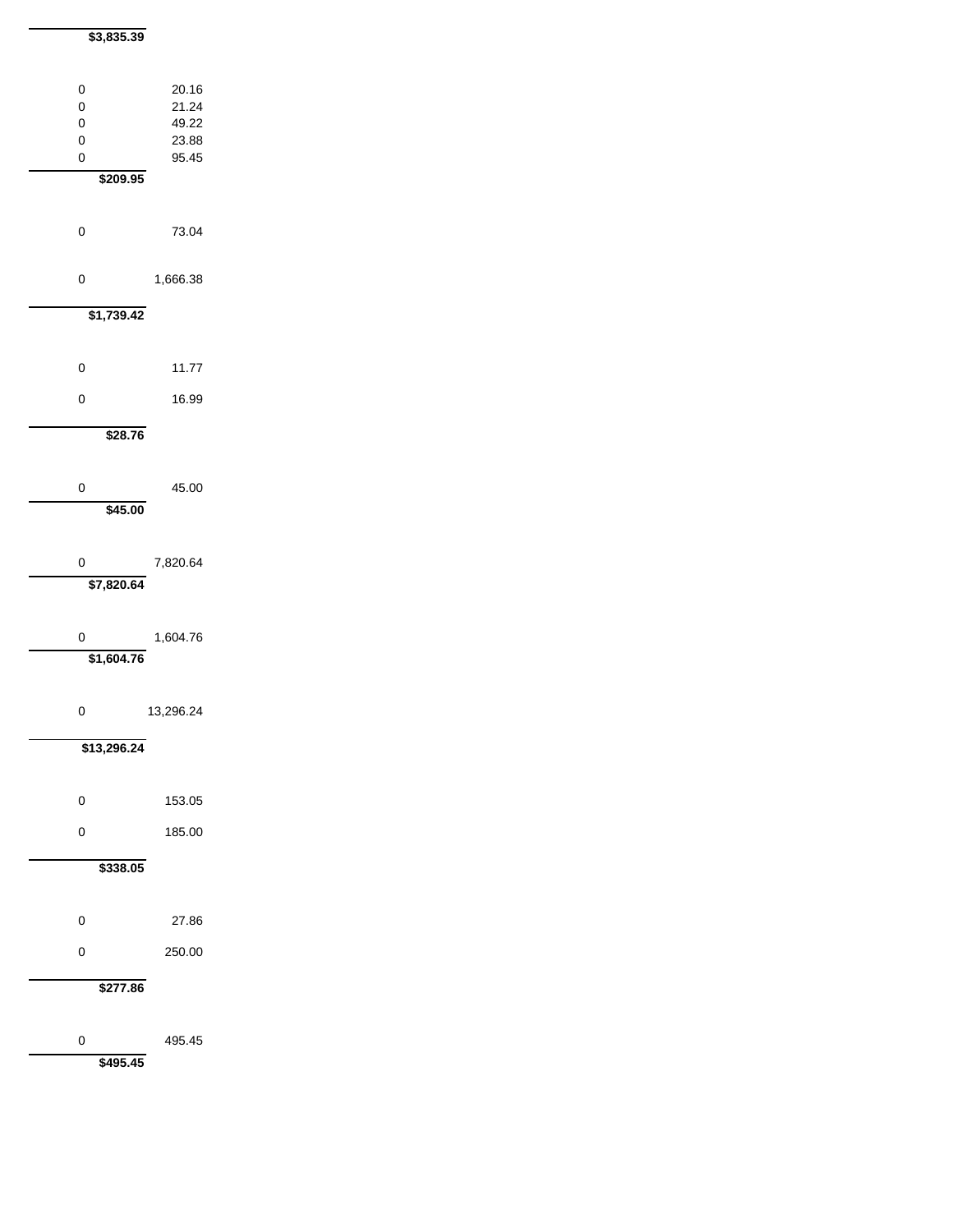| \$3,835.39                        |                                           |
|-----------------------------------|-------------------------------------------|
| 0<br>0<br>0<br>0<br>0<br>\$209.95 | 20.16<br>21.24<br>49.22<br>23.88<br>95.45 |
| 0                                 | 73.04                                     |
| 0                                 | 1,666.38                                  |
| \$1,739.42                        |                                           |
| 0                                 | 11.77                                     |
| 0                                 | 16.99                                     |
| \$28.76                           |                                           |
| 0<br>\$45.00                      | 45.00                                     |
| 0<br>\$7,820.64                   | 7,820.64                                  |
| 0<br>\$1,604.76                   | 1,604.76                                  |
| 0                                 | 13,296.24                                 |
| \$13,296.24                       |                                           |
| 0                                 | 153.05                                    |
| 0                                 | 185.00                                    |
| \$338.05                          |                                           |
| 0                                 | 27.86                                     |
| 0                                 | 250.00                                    |
| \$277.86                          |                                           |
| 0<br>\$495.45                     | 495.45                                    |
|                                   |                                           |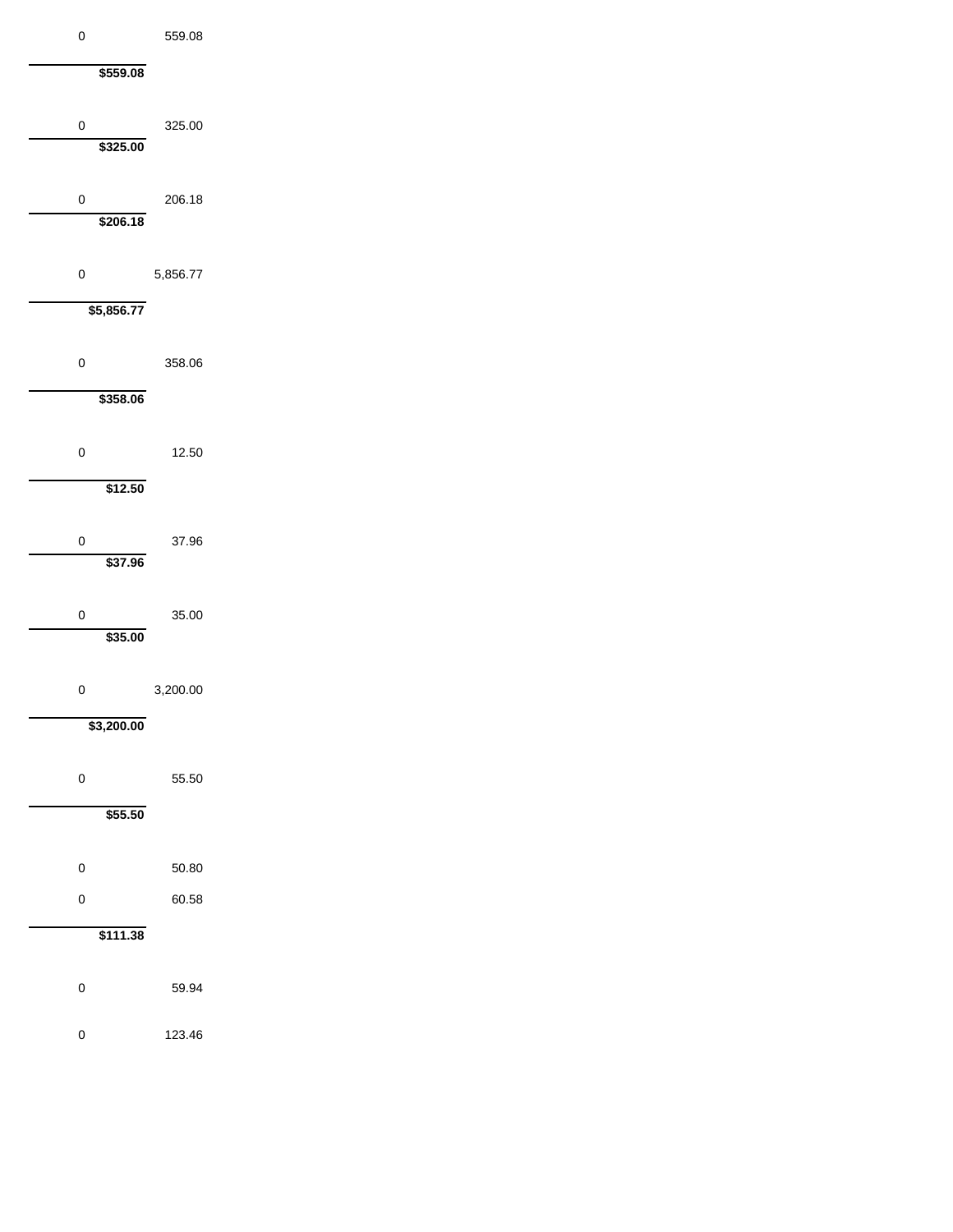| 0                       | 559.08   |
|-------------------------|----------|
| \$559.08                |          |
| 0<br>\$325.00           | 325.00   |
| $\mathbf 0$<br>\$206.18 | 206.18   |
| 0                       | 5,856.77 |
| \$5,856.77              |          |
| 0<br>\$358.06           | 358.06   |
| 0                       | 12.50    |
| \$12.50                 |          |
| 0<br>\$37.96            | 37.96    |
| 0<br>\$35.00            | 35.00    |
| 0                       | 3,200.00 |
| \$3,200.00              |          |
| 0                       | 55.50    |
| \$55.50                 |          |
| 0                       | 50.80    |
| 0                       | 60.58    |
| \$111.38                |          |
| 0                       | 59.94    |
| 0                       | 123.46   |